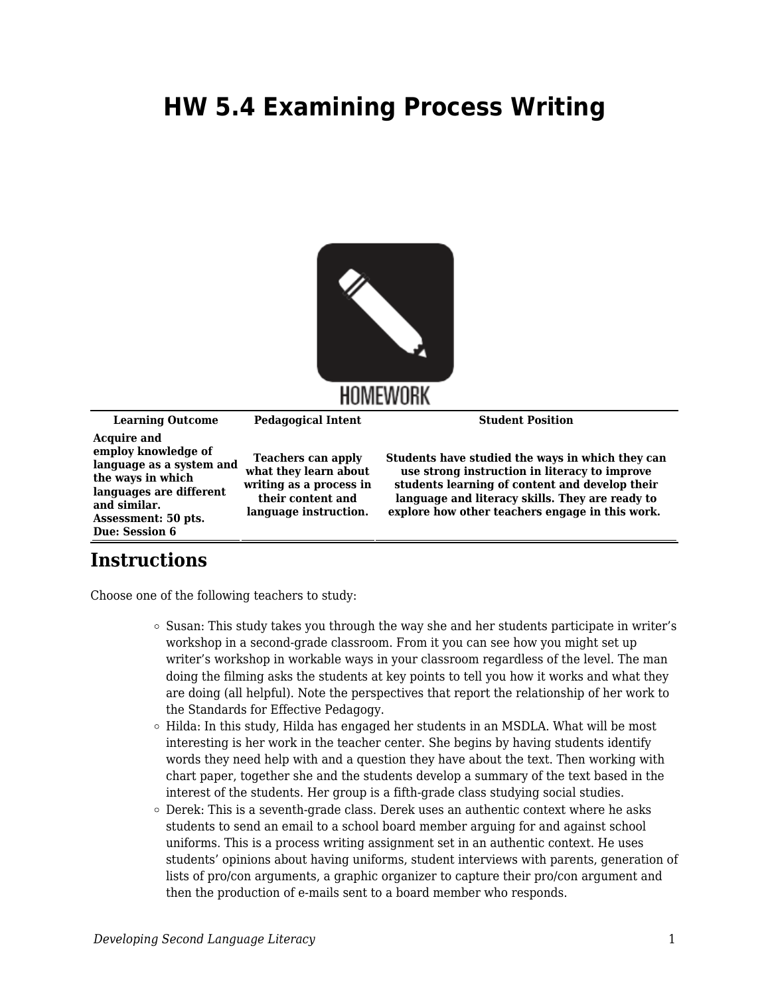## **HW 5.4 Examining Process Writing**



**Learning Outcome Pedagogical Intent Student Position Acquire and employ knowledge of language as a system and the ways in which languages are different and similar. Assessment: 50 pts. Due: Session 6 Teachers can apply what they learn about writing as a process in their content and language instruction. Students have studied the ways in which they can use strong instruction in literacy to improve students learning of content and develop their language and literacy skills. They are ready to explore how other teachers engage in this work.** 

## **Instructions**

Choose one of the following teachers to study:

- $\circ$  Susan: This study takes you through the way she and her students participate in writer's workshop in a second-grade classroom. From it you can see how you might set up writer's workshop in workable ways in your classroom regardless of the level. The man doing the filming asks the students at key points to tell you how it works and what they are doing (all helpful). Note the perspectives that report the relationship of her work to the Standards for Effective Pedagogy.
- $\circ$  Hilda: In this study, Hilda has engaged her students in an MSDLA. What will be most interesting is her work in the teacher center. She begins by having students identify words they need help with and a question they have about the text. Then working with chart paper, together she and the students develop a summary of the text based in the interest of the students. Her group is a fifth-grade class studying social studies.
- $\circ$  Derek: This is a seventh-grade class. Derek uses an authentic context where he asks students to send an email to a school board member arguing for and against school uniforms. This is a process writing assignment set in an authentic context. He uses students' opinions about having uniforms, student interviews with parents, generation of lists of pro/con arguments, a graphic organizer to capture their pro/con argument and then the production of e-mails sent to a board member who responds.